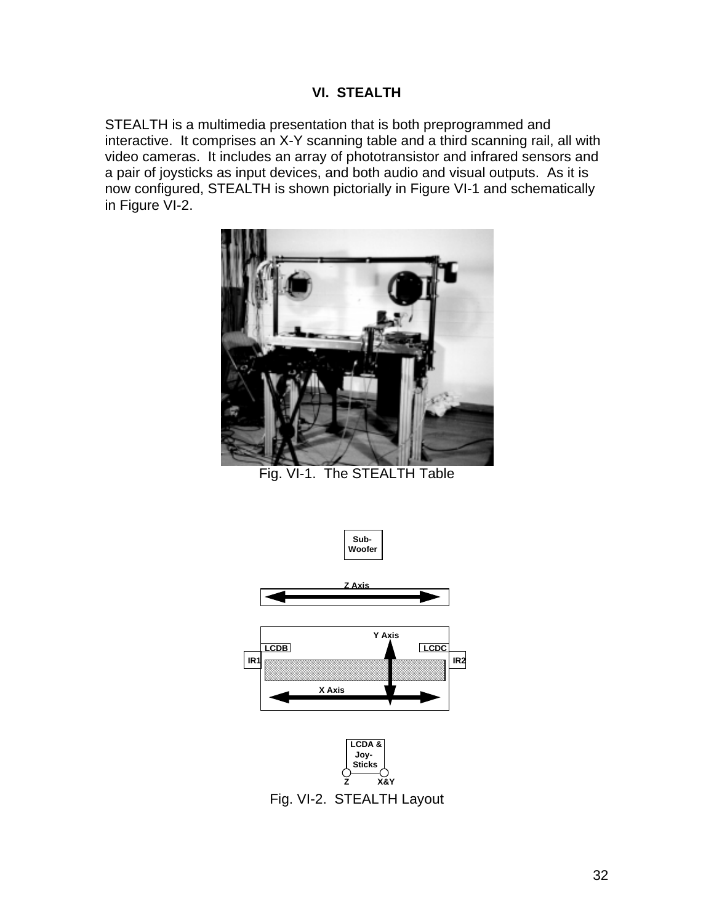## **VI. STEALTH**

STEALTH is a multimedia presentation that is both preprogrammed and interactive. It comprises an X-Y scanning table and a third scanning rail, all with video cameras. It includes an array of phototransistor and infrared sensors and a pair of joysticks as input devices, and both audio and visual outputs. As it is now configured, STEALTH is shown pictorially in Figure VI-1 and schematically in Figure VI-2.



Fig. VI-1. The STEALTH Table



Fig. VI-2. STEALTH Layout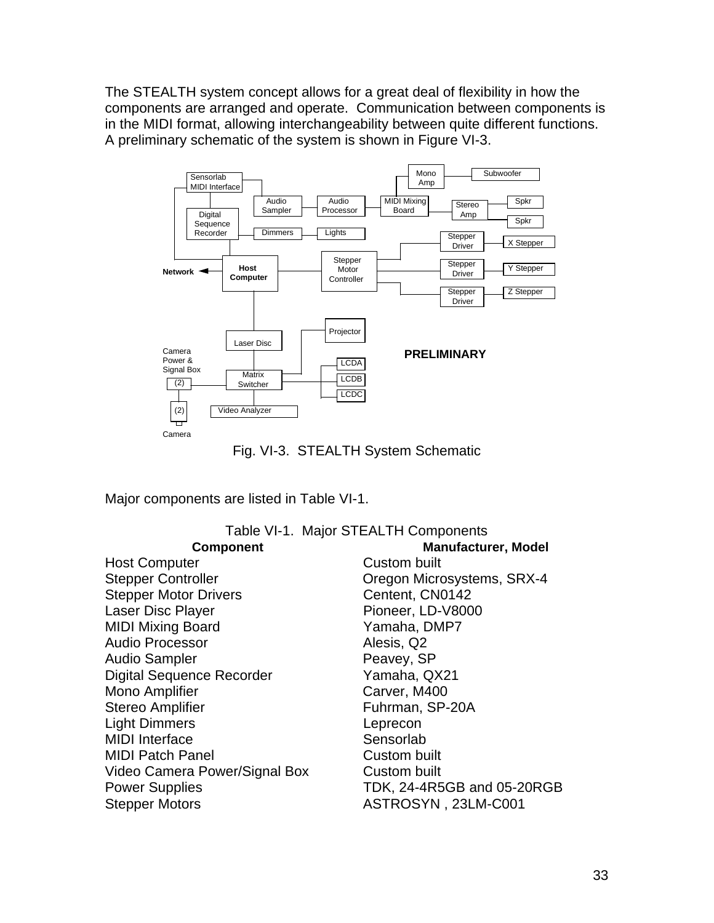The STEALTH system concept allows for a great deal of flexibility in how the components are arranged and operate. Communication between components is in the MIDI format, allowing interchangeability between quite different functions. A preliminary schematic of the system is shown in Figure VI-3.





Major components are listed in Table VI-1.

|                                  | Table VI-1. Major STEALTH Components |
|----------------------------------|--------------------------------------|
| <b>Component</b>                 | <b>Manufacturer, Model</b>           |
| <b>Host Computer</b>             | Custom built                         |
| <b>Stepper Controller</b>        | Oregon Microsystems, SRX-4           |
| <b>Stepper Motor Drivers</b>     | Centent, CN0142                      |
| Laser Disc Player                | Pioneer, LD-V8000                    |
| <b>MIDI Mixing Board</b>         | Yamaha, DMP7                         |
| <b>Audio Processor</b>           | Alesis, Q2                           |
| <b>Audio Sampler</b>             | Peavey, SP                           |
| <b>Digital Sequence Recorder</b> | Yamaha, QX21                         |
| Mono Amplifier                   | Carver, M400                         |
| <b>Stereo Amplifier</b>          | Fuhrman, SP-20A                      |
| <b>Light Dimmers</b>             | Leprecon                             |
| <b>MIDI</b> Interface            | Sensorlab                            |
| <b>MIDI Patch Panel</b>          | Custom built                         |
| Video Camera Power/Signal Box    | Custom built                         |
| <b>Power Supplies</b>            | TDK, 24-4R5GB and 05-20RGB           |
| <b>Stepper Motors</b>            | ASTROSYN, 23LM-C001                  |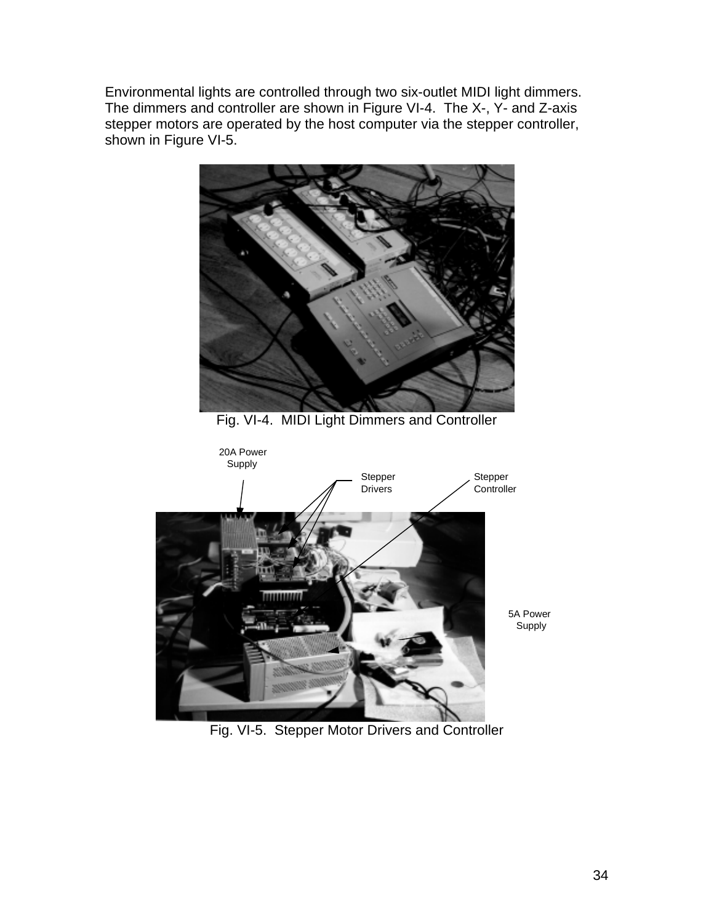Environmental lights are controlled through two six-outlet MIDI light dimmers. The dimmers and controller are shown in Figure VI-4. The X-, Y- and Z-axis stepper motors are operated by the host computer via the stepper controller, shown in Figure VI-5.



Fig. VI-5. Stepper Motor Drivers and Controller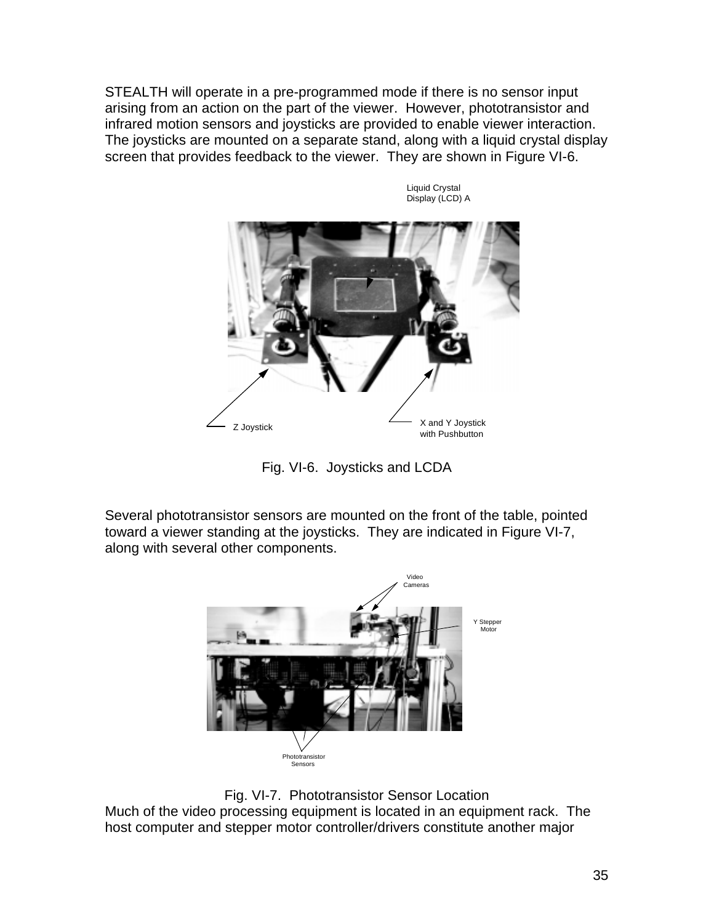STEALTH will operate in a pre-programmed mode if there is no sensor input arising from an action on the part of the viewer. However, phototransistor and infrared motion sensors and joysticks are provided to enable viewer interaction. The joysticks are mounted on a separate stand, along with a liquid crystal display screen that provides feedback to the viewer. They are shown in Figure VI-6.

> Liquid Crystal Display (LCD) A

Z Joystick X and Y Joystick X and Y Joystick with Pushbutton

Fig. VI-6. Joysticks and LCDA

Several phototransistor sensors are mounted on the front of the table, pointed toward a viewer standing at the joysticks. They are indicated in Figure VI-7, along with several other components.



Fig. VI-7. Phototransistor Sensor Location Much of the video processing equipment is located in an equipment rack. The host computer and stepper motor controller/drivers constitute another major